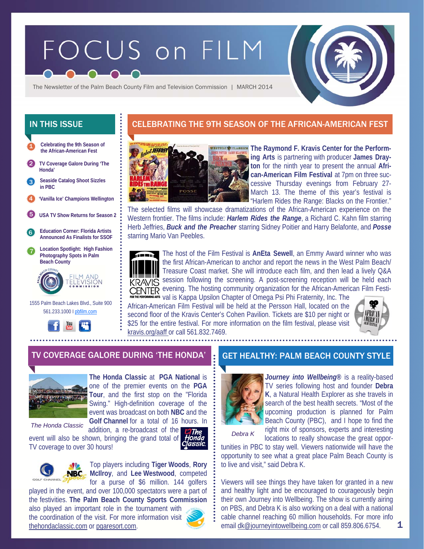# FOCUS on FILM



The Newsletter of the Palm Beach County Film and Television Commission | MARCH 2014

**Celebrating the 9th Season of the African-American Fest**  1

- 2 **TV Coverage Galore During 'The Honda'**
- **Seaside Catalog Shoot Sizzles in PBC**  3
- 4 **'Vanilla Ice' Champions Wellington**
- 5 **USA TV Show Returns for Season 2**



7 **Location Spotlight: High Fashion Photography Spots in Palm Beach County** 



 1555 Palm Beach Lakes Blvd., Suite 900 561.233.1000 I pbfilm.com



# IN THIS ISSUE **CELEBRATING THE 9TH SEASON OF THE AFRICAN-AMERICAN FEST**



**The Raymond F. Kravis Center for the Performing Arts** is partnering with producer **James Drayton** for the ninth year to present the annual **African-American Film Festival** at 7pm on three successive Thursday evenings from February 27- March 13. The theme of this year's festival is "Harlem Rides the Range: Blacks on the Frontier."

The selected films will showcase dramatizations of the African-American experience on the Western frontier. The films include: *Harlem Rides the Range*, a Richard C. Kahn film starring Herb Jeffries, *Buck and the Preacher* starring Sidney Poitier and Harry Belafonte, and *Posse*  starring Mario Van Peebles.



The host of the Film Festival is **AnEta Sewell**, an Emmy Award winner who was the first African-American to anchor and report the news in the West Palm Beach/ Treasure Coast market. She will introduce each film, and then lead a lively Q&A **KRAVIS** session following the screening. A post-screening reception will be held each CENTER evening. The hosting community organization for the African-American Film Festi-

**urs** val is Kappa Upsilon Chapter of Omega Psi Phi Fraternity, Inc. The African-American Film Festival will be held at the Persson Hall, located on the second floor of the Kravis Center's Cohen Pavilion. Tickets are \$10 per night or \$25 for the entire festival. For more information on the film festival, please visit kravis.org/aaff or call 561.832.7469.



#### TV COVERAGE GALORE DURING 'THE HONDA' **GET HEALTHY: PALM BEACH COUNTY STYLE**



**The Honda Classic** at **PGA National** is one of the premier events on the **PGA Tour**, and the first stop on the "Florida Swing." High-definition coverage of the event was broadcast on both **NBC** and the **Golf Channel** for a total of 16 hours. In

*The Honda Classic* 

addition, a re-broadcast of the event will also be shown, bringing the grand total of TV coverage to over 30 hours!





Top players including **Tiger Woods**, **Rory McIlroy**, and **Lee Westwood**, competed for a purse of \$6 million. 144 golfers

played in the event, and over 100,000 spectators were a part of the festivities. **The Palm Beach County Sports Commission**  also played an important role in the tournament with the coordination of the visit. For more information visit thehondaclassic.com or pgaresort.com.



*Journey into Wellbeing***®** is a reality-based TV series following host and founder **Debra K**, a Natural Health Explorer as she travels in search of the best health secrets. "Most of the upcoming production is planned for Palm Beach County (PBC), and I hope to find the right mix of sponsors, experts and interesting

*Debra K* 

locations to really showcase the great opportunities in PBC to stay well. Viewers nationwide will have the opportunity to see what a great place Palm Beach County is to live and visit," said Debra K.

Viewers will see things they have taken for granted in a new and healthy light and be encouraged to courageously begin their own Journey into Wellbeing. The show is currently airing on PBS, and Debra K is also working on a deal with a national cable channel reaching 60 million households. For more info email dk@journeyintowellbeing.com or call 859.806.6754.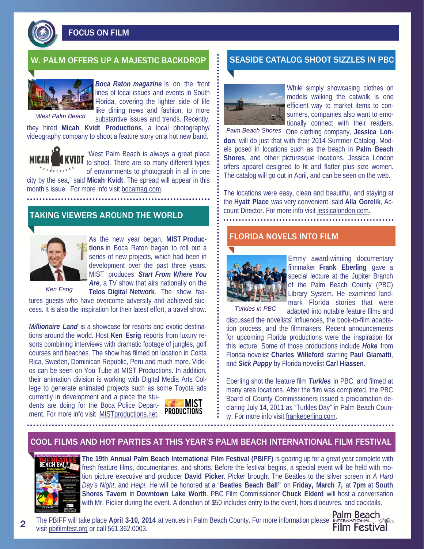FOCUS ON FILM



*West Palm Beach* 

*Boca Raton magazine* is on the front lines of local issues and events in South Florida, covering the lighter side of life like dining news and fashion, to more substantive issues and trends. Recently,

they hired **Micah Kvidt Productions**, a local photography/ videography company to shoot a feature story on a hot new band.

"West Palm Beach is always a great place **TVIDT** to shoot. There are so many different types of environments to photograph in all in one city by the sea," said **Micah Kvidt**. The spread will appear in this month's issue. For more info visit bocamag.com.

#### TAKING VIEWERS AROUND THE WORLD



As the new year began, **MIST Productions** in Boca Raton began to roll out a series of new projects, which had been in development over the past three years. MIST produces *Start From Where You*  Are, a TV show that airs nationally on the **Telos Digital Network**. The show fea-

*Ken Esrig* 

tures guests who have overcome adversity and achieved success. It is also the inspiration for their latest effort, a travel show.

*Millionaire Land* is a showcase for resorts and exotic destinations around the world. Host **Ken Esrig** reports from luxury resorts combining interviews with dramatic footage of jungles, golf courses and beaches. The show has filmed on location in Costa Rica, Sweden, Dominican Republic, Peru and much more. Videos can be seen on You Tube at MIST Productions. In addition, their animation division is working with Digital Media Arts College to generate animated projects such as some Toyota ads

currently in development and a piece the students are doing for the Boca Police Department. For more info visit MISTproductions.net.



## W. PALM OFFERS UP A MAJESTIC BACKDROP SEASIDE CATALOG SHOOT SIZZLES IN PBC



While simply showcasing clothes on models walking the catwalk is one efficient way to market items to consumers, companies also want to emotionally connect with their readers.

Palm Beach Shores One clothing company, Jessica Lon**don**, will do just that with their 2014 Summer Catalog. Models posed in locations such as the beach in **Palm Beach Shores**, and other picturesque locations. Jessica London offers apparel designed to fit and flatter plus size women. The catalog will go out in April, and can be seen on the web.

The locations were easy, clean and beautiful, and staying at the **Hyatt Place** was very convenient, said **Alla Gorelik**, Account Director. For more info visit jessicalondon.com.

#### FLORIDA NOVELS INTO FILM



Emmy award-winning documentary filmmaker **Frank Eberling** gave a special lecture at the Jupiter Branch of the Palm Beach County (PBC) Library System. He examined landmark Florida stories that were

adapted into notable feature films and

*Turkles in PBC* 

discussed the novelists' influences, the book-to-film adaptation process, and the filmmakers. Recent announcements for upcoming Florida productions were the inspiration for this lecture. Some of those productions include *Hoke* from Florida novelist **Charles Willeford** starring **Paul Giamatti**, and *Sick Puppy* by Florida novelist **Carl Hiassen**.

Eberling shot the feature film *Turkles* in PBC, and filmed at many area locations. After the film was completed, the PBC Board of County Commissioners issued a proclamation declaring July 14, 2011 as "Turkles Day" in Palm Beach County. For more info visit frankeberling.com.

#### COOL FILMS AND HOT PARTIES AT THIS YEAR'S PALM BEACH INTERNATIONAL FILM FESTIVAL



**The 19th Annual Palm Beach International Film Festival (PBIFF)** is gearing up for a great year complete with fresh feature films, documentaries, and shorts. Before the festival begins, a special event will be held with motion picture executive and producer **David Picker**. Picker brought The Beatles to the silver screen in *A Hard Day's Night*, and *Help!.* He will be honored at a "**Beatles Beach Ball"** on **Friday, March 7,** at **7pm** at **South Shores Tavern** in **Downtown Lake Worth**. PBC Film Commissioner **Chuck Elderd** will host a conversation with Mr. Picker during the event. A donation of \$50 includes entry to the event, hors d'oeuvres, and cocktails.

**The PBIFF will take place April 3-10, 2014** at venues in Palm Beach County. For more information please INTERNATIONAL visit pbifilmfest.org or call 561.362.0003.



2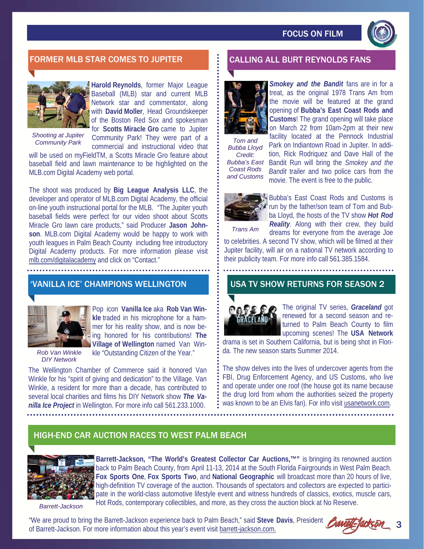

# FORMER MLB STAR COMES TO JUPITER CALLING ALL BURT REYNOLDS FANS



**Harold Reynolds**, former Major League Baseball (MLB) star and current MLB Network star and commentator, along with **David Moller**, Head Groundskeeper of the Boston Red Sox and spokesman for **Scotts Miracle Gro** came to Jupiter Community Park! They were part of a

*Shooting at Jupiter* 

**Community Park Community Park They were part of a : Tom and <br>Commercial and instructional video that : Bubba Lloy** will be used on myFieldTM, a Scotts Miracle Gro feature about baseball field and lawn maintenance to be highlighted on the MLB.com Digital Academy web portal.

The shoot was produced by **Big League Analysis LLC**, the developer and operator of MLB.com Digital Academy, the official on-line youth instructional portal for the MLB. "The Jupiter youth baseball fields were perfect for our video shoot about Scotts Miracle Gro lawn care products," said Producer **Jason Johnson**. MLB.com Digital Academy would be happy to work with youth leagues in Palm Beach County including free introductory Digital Academy products. For more information please visit mlb.com/digitalacademy and click on "Contact."

## 'VANILLA ICE' CHAMPIONS WELLINGTON



Pop icon **Vanilla Ice** aka **Rob Van Winkle** traded in his microphone for a hammer for his reality show, and is now being honored for his contributions! **The Village of Wellington** named Van Winkle "Outstanding Citizen of the Year."

*Rob Van Winkle DIY Network* 

The Wellington Chamber of Commerce said it honored Van Winkle for his "spirit of giving and dedication" to the Village. Van Winkle, a resident for more than a decade, has contributed to several local charities and films his DIY Network show *The Vanilla Ice Project* in Wellington. For more info call 561.233.1000.



**Smokey and the Bandit** fans are in for a treat, as the original 1978 Trans Am from the movie will be featured at the grand opening of **Bubba's East Coast Rods and Customs**! The grand opening will take place on March 22 from 10am-2pm at their new

*Bubba Lloyd Credit: Bubba's East Coast Rods and Customs* 

facility located at the Pennock Industrial Park on Indiantown Road in Jupiter. In addition, Rick Rodriquez and Dave Hall of the Bandit Run will bring the *Smokey and the Bandit* trailer and two police cars from the movie. The event is free to the public.



Bubba's East Coast Rods and Customs is run by the father/son team of Tom and Bubba Lloyd, the hosts of the TV show *Hot Rod Reality*. Along with their crew, they build

*Trans Am* 

dreams for everyone from the average Joe to celebrities. A second TV show, which will be filmed at their

Jupiter facility, will air on a national TV network according to their publicity team. For more info call 561.385.1584.

## USA TV SHOW RETURNS FOR SEASON 2



The original TV series, *Graceland* got renewed for a second season and returned to Palm Beach County to film upcoming scenes! The **USA Network** 

drama is set in Southern California, but is being shot in Florida. The new season starts Summer 2014.

The show delves into the lives of undercover agents from the FBI, Drug Enforcement Agency, and US Customs, who live and operate under one roof (the house got its name because the drug lord from whom the authorities seized the property was known to be an Elvis fan). For info visit usanetwork.com.

# HIGH-END CAR AUCTION RACES TO WEST PALM BEACH



**Barrett-Jackson, "The World's Greatest Collector Car Auctions,™"** is bringing its renowned auction back to Palm Beach County, from April 11-13, 2014 at the South Florida Fairgrounds in West Palm Beach. **Fox Sports One**, **Fox Sports Two**, and **National Geographic** will broadcast more than 20 hours of live, high-definition TV coverage of the auction. Thousands of spectators and collectors are expected to participate in the world-class automotive lifestyle event and witness hundreds of classics, exotics, muscle cars, Hot Rods, contemporary collectibles, and more, as they cross the auction block at No Reserve.

*Barrett-Jackson* 

"We are proud to bring the Barrett-Jackson experience back to Palm Beach," said **Steve Davis**, President of Barrett-Jackson. For more information about this year's event visit barrett-jackson.com.